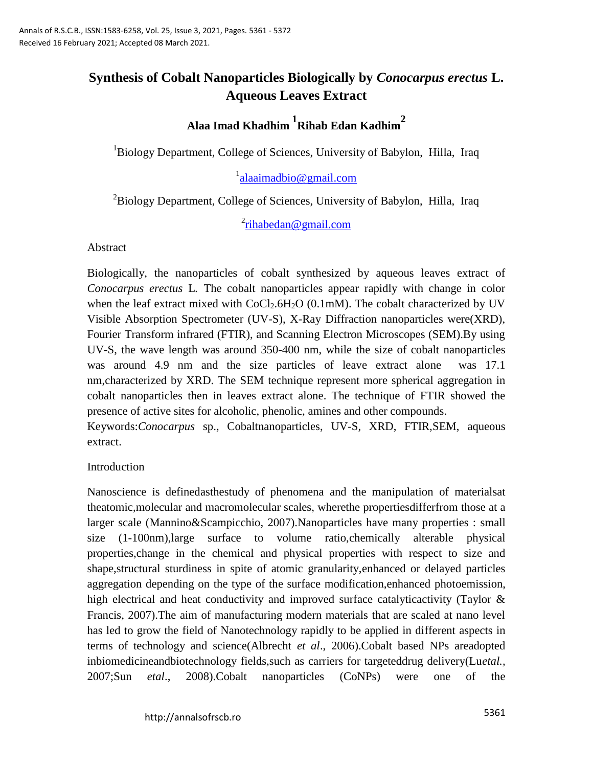# **Synthesis of Cobalt Nanoparticles Biologically by** *Conocarpus erectus* **L. Aqueous Leaves Extract**

# **Alaa Imad Khadhim <sup>1</sup> Rihab Edan Kadhim<sup>2</sup>**

<sup>1</sup>Biology Department, College of Sciences, University of Babylon, Hilla, Iraq

# <sup>1</sup>[alaaimadbio@gmail.com](mailto:alaaimadbio@gmail.com)

<sup>2</sup>Biology Department, College of Sciences, University of Babylon, Hilla, Iraq

<sup>2</sup>[rihabedan@gmail.com](mailto:rihabedan@gmail.com)

Abstract

Biologically, the nanoparticles of cobalt synthesized by aqueous leaves extract of *Conocarpus erectus* L*.* The cobalt nanoparticles appear rapidly with change in color when the leaf extract mixed with  $CoCl<sub>2</sub>.6H<sub>2</sub>O$  (0.1mM). The cobalt characterized by UV Visible Absorption Spectrometer (UV-S), X-Ray Diffraction nanoparticles were(XRD), Fourier Transform infrared (FTIR), and Scanning Electron Microscopes (SEM).By using UV-S, the wave length was around 350-400 nm, while the size of cobalt nanoparticles was around 4.9 nm and the size particles of leave extract alone was 17.1 nm,characterized by XRD. The SEM technique represent more spherical aggregation in cobalt nanoparticles then in leaves extract alone. The technique of FTIR showed the presence of active sites for alcoholic, phenolic, amines and other compounds.

Keywords:*Conocarpus* sp., Cobaltnanoparticles, UV-S, XRD, FTIR,SEM, aqueous extract.

#### Introduction

Nanoscience is definedasthestudy of phenomena and the manipulation of materialsat theatomic,molecular and macromolecular scales, wherethe propertiesdifferfrom those at a larger scale (Mannino&Scampicchio, 2007).Nanoparticles have many properties : small size (1-100nm),large surface to volume ratio,chemically alterable physical properties,change in the chemical and physical properties with respect to size and shape,structural sturdiness in spite of atomic granularity,enhanced or delayed particles aggregation depending on the type of the surface modification,enhanced photoemission, high electrical and heat conductivity and improved surface catalyticactivity (Taylor & Francis, 2007).The aim of manufacturing modern materials that are scaled at nano level has led to grow the field of Nanotechnology rapidly to be applied in different aspects in terms of technology and science(Albrecht *et al*., 2006).Cobalt based NPs areadopted inbiomedicineandbiotechnology fields,such as carriers for targeteddrug delivery(Lu*etal.,*  2007;Sun *etal*., 2008).Cobalt nanoparticles (CoNPs) were one of the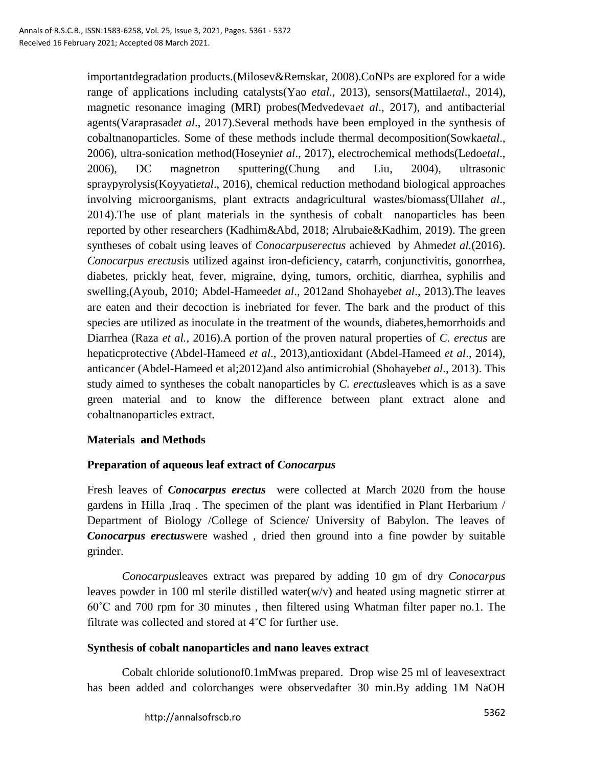importantdegradation products.(Milosev&Remskar, 2008).CoNPs are explored for a wide range of applications including catalysts(Yao *etal*., 2013), sensors(Mattila*etal*., 2014), magnetic resonance imaging (MRI) probes(Medvedeva*et al*., 2017), and antibacterial agents(Varaprasad*et al*., 2017).Several methods have been employed in the synthesis of cobaltnanoparticles. Some of these methods include thermal decomposition(Sowka*etal*., 2006), ultra-sonication method(Hoseyni*et al*., 2017), electrochemical methods(Ledo*etal*., 2006), DC magnetron sputtering(Chung and Liu, 2004), ultrasonic spraypyrolysis(Koyyati*etal*., 2016), chemical reduction methodand biological approaches involving microorganisms, plant extracts andagricultural wastes/biomass(Ullah*et al*., 2014).The use of plant materials in the synthesis of cobalt nanoparticles has been reported by other researchers (Kadhim&Abd, 2018; Alrubaie&Kadhim, 2019). The green syntheses of cobalt using leaves of *Conocarpuserectus* achieved by Ahmed*et al.*(2016). *Conocarpus erectus*is utilized against iron-deficiency, catarrh, conjunctivitis, gonorrhea, diabetes, prickly heat, fever, migraine, dying, tumors, orchitic, diarrhea, syphilis and swelling,(Ayoub, 2010; Abdel-Hameed*et al*., 2012and Shohayeb*et al*., 2013).The leaves are eaten and their decoction is inebriated for fever. The bark and the product of this species are utilized as inoculate in the treatment of the wounds, diabetes, hemorrhoids and Diarrhea (Raza *et al.,* 2016).A portion of the proven natural properties of *C. erectus* are hepaticprotective (Abdel-Hameed *et al*., 2013),antioxidant (Abdel-Hameed *et al*., 2014), anticancer (Abdel-Hameed et al;2012)and also antimicrobial (Shohayeb*et al*., 2013). This study aimed to syntheses the cobalt nanoparticles by *C. erectus*leaves which is as a save green material and to know the difference between plant extract alone and cobaltnanoparticles extract.

#### **Materials and Methods**

#### **Preparation of aqueous leaf extract of** *Conocarpus*

Fresh leaves of *Conocarpus erectus* were collected at March 2020 from the house gardens in Hilla ,Iraq . The specimen of the plant was identified in Plant Herbarium / Department of Biology /College of Science/ University of Babylon. The leaves of *Conocarpus erectus*were washed , dried then ground into a fine powder by suitable grinder.

*Conocarpus*leaves extract was prepared by adding 10 gm of dry *Conocarpus* leaves powder in 100 ml sterile distilled water(w/v) and heated using magnetic stirrer at 60˚C and 700 rpm for 30 minutes , then filtered using Whatman filter paper no.1. The filtrate was collected and stored at 4˚C for further use.

#### **Synthesis of cobalt nanoparticles and nano leaves extract**

Cobalt chloride solutionof0.1mMwas prepared. Drop wise 25 ml of leavesextract has been added and colorchanges were observedafter 30 min.By adding 1M NaOH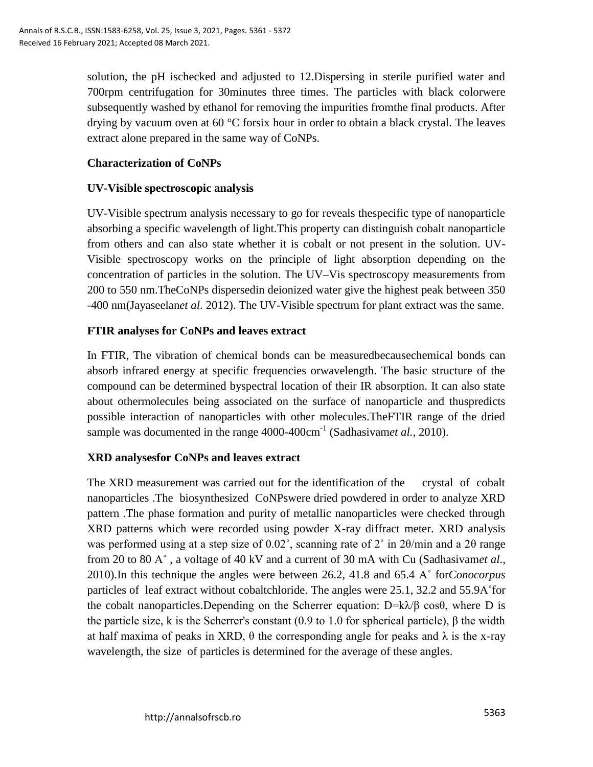solution, the pH ischecked and adjusted to 12.Dispersing in sterile purified water and 700rpm centrifugation for 30minutes three times. The particles with black colorwere subsequently washed by ethanol for removing the impurities fromthe final products. After drying by vacuum oven at 60 °C forsix hour in order to obtain a black crystal. The leaves extract alone prepared in the same way of CoNPs.

# **Characterization of CoNPs**

## **UV-Visible spectroscopic analysis**

UV-Visible spectrum analysis necessary to go for reveals thespecific type of nanoparticle absorbing a specific wavelength of light.This property can distinguish cobalt nanoparticle from others and can also state whether it is cobalt or not present in the solution. UV-Visible spectroscopy works on the principle of light absorption depending on the concentration of particles in the solution. The UV–Vis spectroscopy measurements from 200 to 550 nm.TheCoNPs dispersedin deionized water give the highest peak between 350 -400 nm(Jayaseelan*et al*. 2012). The UV-Visible spectrum for plant extract was the same.

# **FTIR analyses for CoNPs and leaves extract**

In FTIR, The vibration of chemical bonds can be measuredbecausechemical bonds can absorb infrared energy at specific frequencies orwavelength. The basic structure of the compound can be determined byspectral location of their IR absorption. It can also state about othermolecules being associated on the surface of nanoparticle and thuspredicts possible interaction of nanoparticles with other molecules.TheFTIR range of the dried sample was documented in the range 4000-400cm<sup>-1</sup> (Sadhasivamet al., 2010).

# **XRD analysesfor CoNPs and leaves extract**

The XRD measurement was carried out for the identification of the crystal of cobalt nanoparticles .The biosynthesized CoNPswere dried powdered in order to analyze XRD pattern .The phase formation and purity of metallic nanoparticles were checked through XRD patterns which were recorded using powder X-ray diffract meter. XRD analysis was performed using at a step size of  $0.02^{\circ}$ , scanning rate of  $2^{\circ}$  in  $2\theta$ /min and a  $2\theta$  range from 20 to 80 A˚ , a voltage of 40 kV and a current of 30 mA with Cu (Sadhasivam*et al*., 2010).In this technique the angles were between 26.2, 41.8 and 65.4 A˚ for*Conocorpus* particles of leaf extract without cobaltchloride. The angles were 25.1, 32.2 and 55.9A˚for the cobalt nanoparticles.Depending on the Scherrer equation:  $D = k\lambda/\beta \cos\theta$ , where D is the particle size, k is the Scherrer's constant (0.9 to 1.0 for spherical particle),  $β$  the width at half maxima of peaks in XRD,  $\theta$  the corresponding angle for peaks and  $\lambda$  is the x-ray wavelength, the size of particles is determined for the average of these angles.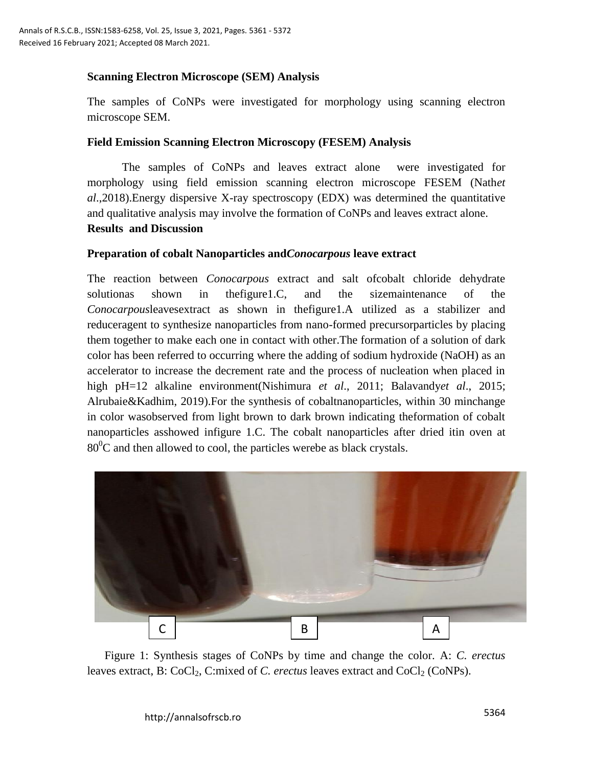#### **Scanning Electron Microscope (SEM) Analysis**

The samples of CoNPs were investigated for morphology using scanning electron microscope SEM.

#### **Field Emission Scanning Electron Microscopy (FESEM) Analysis**

The samples of CoNPs and leaves extract alone were investigated for morphology using field emission scanning electron microscope FESEM (Nath*et al*.,2018).Energy dispersive X-ray spectroscopy (EDX) was determined the quantitative and qualitative analysis may involve the formation of CoNPs and leaves extract alone. **Results and Discussion** 

#### **Preparation of cobalt Nanoparticles and***Conocarpous* **leave extract**

The reaction between *Conocarpous* extract and salt ofcobalt chloride dehydrate solutionas shown in thefigure1.C, and the sizemaintenance of the *Conocarpous*leavesextract as shown in thefigure1.A utilized as a stabilizer and reduceragent to synthesize nanoparticles from nano-formed precursorparticles by placing them together to make each one in contact with other.The formation of a solution of dark color has been referred to occurring where the adding of sodium hydroxide (NaOH) as an accelerator to increase the decrement rate and the process of nucleation when placed in high pH=12 alkaline environment(Nishimura *et al*., 2011; Balavandy*et al*., 2015; Alrubaie&Kadhim, 2019).For the synthesis of cobaltnanoparticles, within 30 minchange in color wasobserved from light brown to dark brown indicating theformation of cobalt nanoparticles asshowed infigure 1.C. The cobalt nanoparticles after dried itin oven at  $80^{\circ}$ C and then allowed to cool, the particles werebe as black crystals.



Figure 1: Synthesis stages of CoNPs by time and change the color. A: *C. erectus*  leaves extract, B: CoCl<sub>2</sub>, C:mixed of *C. erectus* leaves extract and CoCl<sub>2</sub> (CoNPs).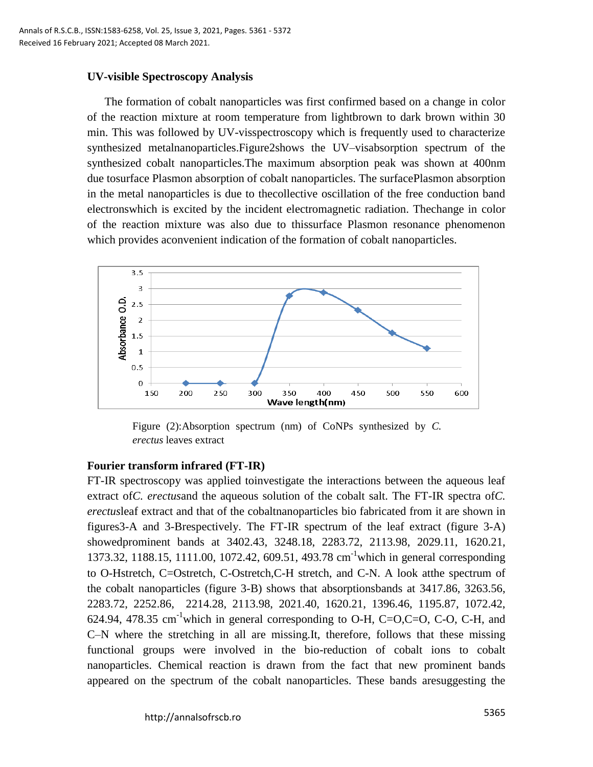#### **UV-visible Spectroscopy Analysis**

The formation of cobalt nanoparticles was first confirmed based on a change in color of the reaction mixture at room temperature from lightbrown to dark brown within 30 min. This was followed by UV-visspectroscopy which is frequently used to characterize synthesized metalnanoparticles.Figure2shows the UV–visabsorption spectrum of the synthesized cobalt nanoparticles.The maximum absorption peak was shown at 400nm due tosurface Plasmon absorption of cobalt nanoparticles. The surfacePlasmon absorption in the metal nanoparticles is due to thecollective oscillation of the free conduction band electronswhich is excited by the incident electromagnetic radiation. Thechange in color of the reaction mixture was also due to thissurface Plasmon resonance phenomenon which provides aconvenient indication of the formation of cobalt nanoparticles.



Figure (2):Absorption spectrum (nm) of CoNPs synthesized by *C. erectus* leaves extract

#### **Fourier transform infrared (FT-IR)**

FT-IR spectroscopy was applied toinvestigate the interactions between the aqueous leaf extract of*C. erectus*and the aqueous solution of the cobalt salt. The FT-IR spectra of*C. erectus*leaf extract and that of the cobaltnanoparticles bio fabricated from it are shown in figures3-A and 3-Brespectively. The FT-IR spectrum of the leaf extract (figure 3-A) showedprominent bands at 3402.43, 3248.18, 2283.72, 2113.98, 2029.11, 1620.21, 1373.32, 1188.15, 1111.00, 1072.42, 609.51, 493.78 cm-1which in general corresponding to O-Hstretch, C=Ostretch, C-Ostretch,C-H stretch, and C-N. A look atthe spectrum of the cobalt nanoparticles (figure 3-B) shows that absorptionsbands at 3417.86, 3263.56, 2283.72, 2252.86, 2214.28, 2113.98, 2021.40, 1620.21, 1396.46, 1195.87, 1072.42, 624.94, 478.35 cm<sup>-1</sup>which in general corresponding to O-H, C=O,C=O, C-O, C-H, and C–N where the stretching in all are missing.It, therefore, follows that these missing functional groups were involved in the bio-reduction of cobalt ions to cobalt nanoparticles. Chemical reaction is drawn from the fact that new prominent bands appeared on the spectrum of the cobalt nanoparticles. These bands aresuggesting the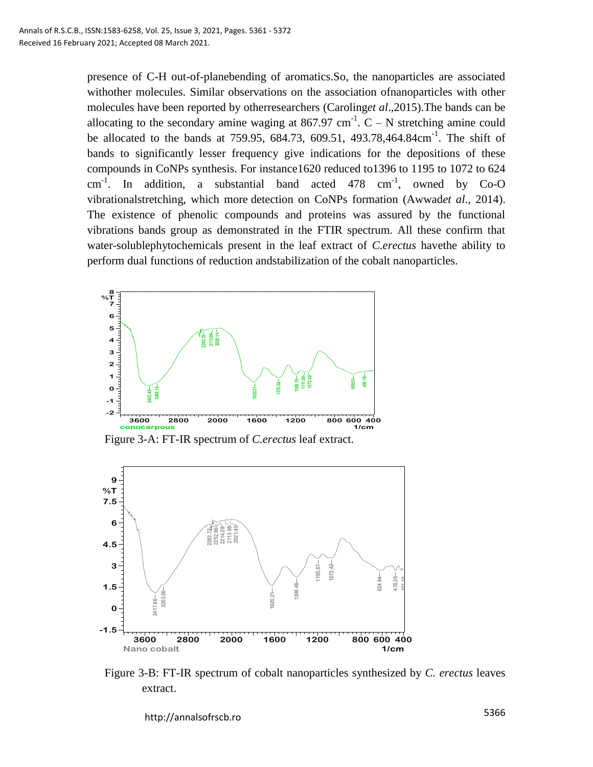presence of C-H out-of-planebending of aromatics.So, the nanoparticles are associated withother molecules. Similar observations on the association ofnanoparticles with other molecules have been reported by otherresearchers (Caroling*et al*.,2015).The bands can be allocating to the secondary amine waging at 867.97 cm<sup>-1</sup>.  $C - N$  stretching amine could be allocated to the bands at 759.95, 684.73, 609.51, 493.78,464.84cm<sup>-1</sup>. The shift of bands to significantly lesser frequency give indications for the depositions of these compounds in CoNPs synthesis. For instance1620 reduced to1396 to 1195 to 1072 to 624  $cm^{-1}$ . In addition, a substantial band acted 478  $cm^{-1}$ , owned by Co-O vibrationalstretching, which more detection on CoNPs formation (Awwad*et al*., 2014). The existence of phenolic compounds and proteins was assured by the functional vibrations bands group as demonstrated in the FTIR spectrum. All these confirm that water-solublephytochemicals present in the leaf extract of *C.erectus* havethe ability to perform dual functions of reduction andstabilization of the cobalt nanoparticles.



Figure 3-A: FT-IR spectrum of *C.erectus* leaf extract.



Figure 3-B: FT-IR spectrum of cobalt nanoparticles synthesized by *C. erectus* leaves extract.

5366 http://annalsofrscb.ro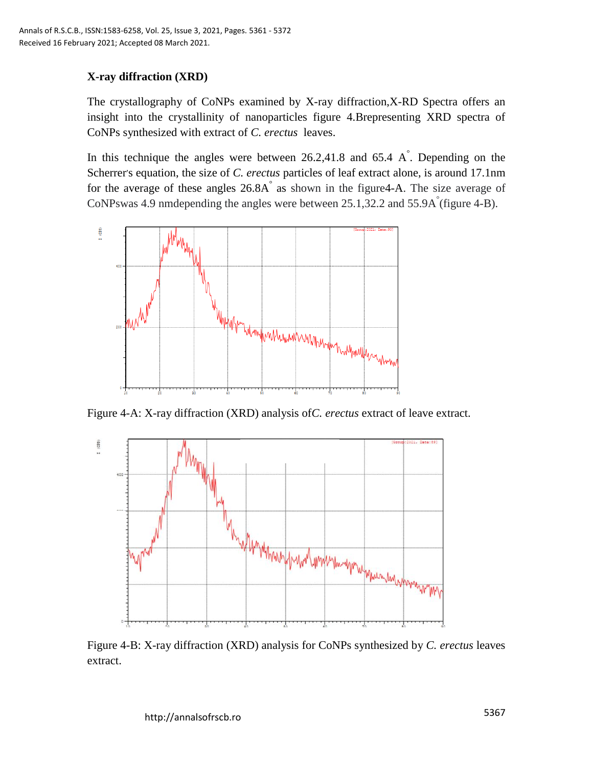# **X-ray diffraction (XRD)**

The crystallography of CoNPs examined by X-ray diffraction,X-RD Spectra offers an insight into the crystallinity of nanoparticles figure 4.Brepresenting XRD spectra of CoNPs synthesized with extract of *C. erectus* leaves.

In this technique the angles were between  $26.2,41.8$  and  $65.4$  A $\degree$ . Depending on the Scherrer's equation, the size of *C. erectus* particles of leaf extract alone, is around 17.1nm for the average of these angles 26.8A ° as shown in the figure4-A. The size average of CoNPswas 4.9 nm depending the angles were between  $25.1,32.2$  and  $55.9\text{A}^{\degree}$  (figure 4-B).



Figure 4-A: X-ray diffraction (XRD) analysis of*C. erectus* extract of leave extract.



Figure 4-B: X-ray diffraction (XRD) analysis for CoNPs synthesized by *C. erectus* leaves extract.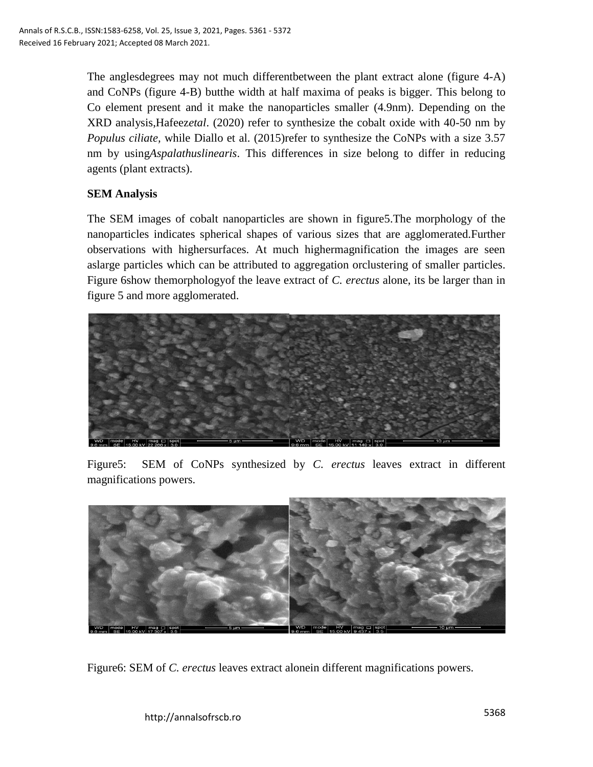The anglesdegrees may not much differentbetween the plant extract alone (figure 4-A) and CoNPs (figure 4-B) butthe width at half maxima of peaks is bigger. This belong to Co element present and it make the nanoparticles smaller (4.9nm). Depending on the XRD analysis,Hafeez*etal*. (2020) refer to synthesize the cobalt oxide with 40-50 nm by *Populus ciliate,* while Diallo et al. (2015)refer to synthesize the CoNPs with a size 3.57 nm by using*Aspalathuslinearis*. This differences in size belong to differ in reducing agents (plant extracts).

# **SEM Analysis**

The SEM images of cobalt nanoparticles are shown in figure5.The morphology of the nanoparticles indicates spherical shapes of various sizes that are agglomerated.Further observations with highersurfaces. At much highermagnification the images are seen aslarge particles which can be attributed to aggregation orclustering of smaller particles. Figure 6show themorphologyof the leave extract of *C. erectus* alone, its be larger than in figure 5 and more agglomerated.



Figure5: SEM of CoNPs synthesized by *C. erectus* leaves extract in different magnifications powers.



Figure6: SEM of *C. erectus* leaves extract alonein different magnifications powers.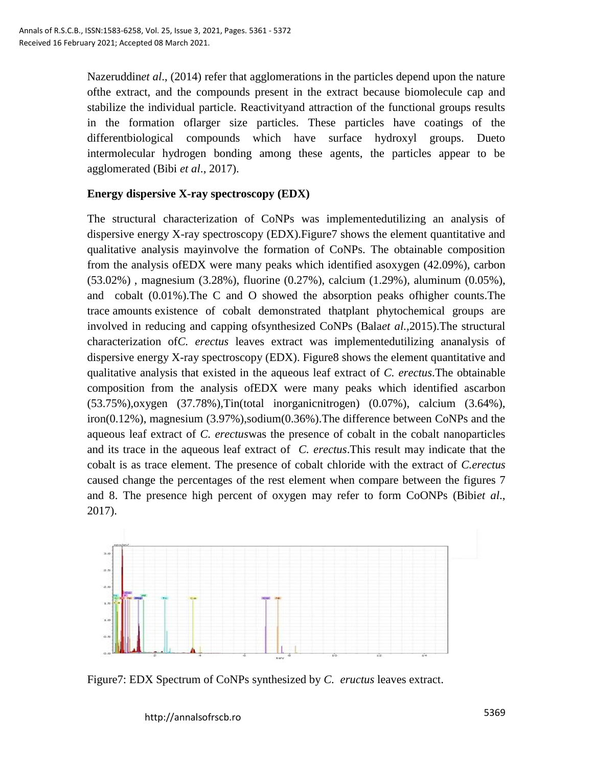Nazeruddin*et al*., (2014) refer that agglomerations in the particles depend upon the nature ofthe extract, and the compounds present in the extract because biomolecule cap and stabilize the individual particle. Reactivityand attraction of the functional groups results in the formation oflarger size particles. These particles have coatings of the differentbiological compounds which have surface hydroxyl groups. Dueto intermolecular hydrogen bonding among these agents, the particles appear to be agglomerated (Bibi *et al*., 2017).

#### **Energy dispersive X-ray spectroscopy (EDX)**

The structural characterization of CoNPs was implementedutilizing an analysis of dispersive energy X-ray spectroscopy (EDX).Figure7 shows the element quantitative and qualitative analysis mayinvolve the formation of CoNPs. The obtainable composition from the analysis ofEDX were many peaks which identified asoxygen (42.09%), carbon (53.02%) , magnesium (3.28%), fluorine (0.27%), calcium (1.29%), aluminum (0.05%), and cobalt (0.01%).The C and O showed the absorption peaks ofhigher counts.The trace amounts existence of cobalt demonstrated thatplant phytochemical groups are involved in reducing and capping ofsynthesized CoNPs (Bala*et al.,*2015).The structural characterization of*C. erectus* leaves extract was implementedutilizing ananalysis of dispersive energy X-ray spectroscopy (EDX). Figure8 shows the element quantitative and qualitative analysis that existed in the aqueous leaf extract of *C. erectus*.The obtainable composition from the analysis ofEDX were many peaks which identified ascarbon (53.75%),oxygen (37.78%),Tin(total inorganicnitrogen) (0.07%), calcium (3.64%), iron(0.12%), magnesium (3.97%),sodium(0.36%).The difference between CoNPs and the aqueous leaf extract of *C. erectus*was the presence of cobalt in the cobalt nanoparticles and its trace in the aqueous leaf extract of *C. erectus*.This result may indicate that the cobalt is as trace element. The presence of cobalt chloride with the extract of *C.erectus* caused change the percentages of the rest element when compare between the figures 7 and 8. The presence high percent of oxygen may refer to form CoONPs (Bibi*et al*., 2017).



Figure7: EDX Spectrum of CoNPs synthesized by *C. eructus* leaves extract.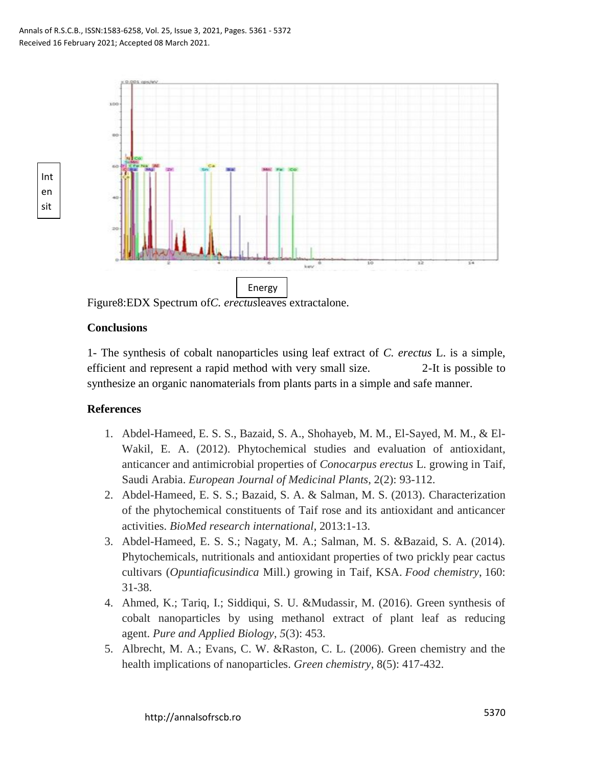

Figure8:EDX Spectrum of*C. erectus*leaves extractalone.

#### **Conclusions**

Int en sit y

> 1- The synthesis of cobalt nanoparticles using leaf extract of *C. erectus* L. is a simple, efficient and represent a rapid method with very small size. 2-It is possible to synthesize an organic nanomaterials from plants parts in a simple and safe manner.

#### **References**

- 1. Abdel-Hameed, E. S. S., Bazaid, S. A., Shohayeb, M. M., El-Sayed, M. M., & El-Wakil, E. A. (2012). Phytochemical studies and evaluation of antioxidant, anticancer and antimicrobial properties of *Conocarpus erectus* L. growing in Taif, Saudi Arabia. *European Journal of Medicinal Plants*, 2(2): 93-112.
- 2. Abdel-Hameed, E. S. S.; Bazaid, S. A. & Salman, M. S. (2013). Characterization of the phytochemical constituents of Taif rose and its antioxidant and anticancer activities. *BioMed research international*, 2013:1-13.
- 3. Abdel-Hameed, E. S. S.; Nagaty, M. A.; Salman, M. S. &Bazaid, S. A. (2014). Phytochemicals, nutritionals and antioxidant properties of two prickly pear cactus cultivars (*Opuntiaficusindica* Mill.) growing in Taif, KSA. *Food chemistry*, 160: 31-38.
- 4. Ahmed, K.; Tariq, I.; Siddiqui, S. U. &Mudassir, M. (2016). Green synthesis of cobalt nanoparticles by using methanol extract of plant leaf as reducing agent. *Pure and Applied Biology*, *5*(3): 453.
- 5. Albrecht, M. A.; Evans, C. W. &Raston, C. L. (2006). Green chemistry and the health implications of nanoparticles. *Green chemistry*, 8(5): 417-432.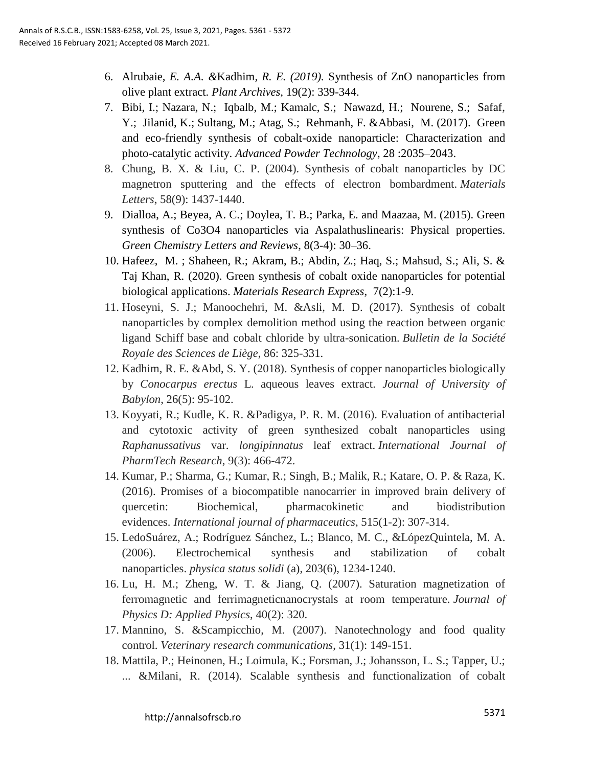- 6. Alrubaie*, E. A.A. &*Kadhim*, R. E. (2019).* Synthesis of ZnO nanoparticles from olive plant extract. *Plant Archives,* 19(2): 339-344.
- 7. Bibi, I.; Nazara, N.; Iqbalb, M.; Kamalc, S.; Nawazd, H.; Nourene, S.; Safaf, Y.; Jilanid, K.; Sultang, M.; Atag, S.; Rehmanh, F. &Abbasi, M. (2017). Green and eco-friendly synthesis of cobalt-oxide nanoparticle: Characterization and photo-catalytic activity. *Advanced Powder Technology*, 28 :2035–2043.
- 8. Chung, B. X. & Liu, C. P. (2004). Synthesis of cobalt nanoparticles by DC magnetron sputtering and the effects of electron bombardment. *Materials Letters*, 58(9): 1437-1440.
- 9. Dialloa, A.; Beyea, A. C.; Doylea, T. B.; Parka, E. and Maazaa, M. (2015). Green synthesis of Co3O4 nanoparticles via Aspalathuslinearis: Physical properties. *Green Chemistry Letters and Reviews*, 8(3-4): 30–36.
- 10. Hafeez, M. ; Shaheen, R.; Akram, B.; Abdin, Z.; Haq, S.; Mahsud, S.; Ali, S. & Taj Khan, R. (2020). Green synthesis of cobalt oxide nanoparticles for potential biological applications. *[Materials Research Express](https://iopscience.iop.org/journal/2053-1591)*, [7\(](https://iopscience.iop.org/volume/2053-1591/7)2):1-9.
- 11. Hoseyni, S. J.; Manoochehri, M. &Asli, M. D. (2017). Synthesis of cobalt nanoparticles by complex demolition method using the reaction between organic ligand Schiff base and cobalt chloride by ultra-sonication. *Bulletin de la Société Royale des Sciences de Liège*, 86: 325-331.
- 12. Kadhim, R. E. &Abd, S. Y. (2018). Synthesis of copper nanoparticles biologically by *Conocarpus erectus* L. aqueous leaves extract. *Journal of University of Babylon*, 26(5): 95-102.
- 13. Koyyati, R.; Kudle, K. R. &Padigya, P. R. M. (2016). Evaluation of antibacterial and cytotoxic activity of green synthesized cobalt nanoparticles using *Raphanussativus* var. *longipinnatus* leaf extract. *International Journal of PharmTech Research*, 9(3): 466-472.
- 14. Kumar, P.; Sharma, G.; Kumar, R.; Singh, B.; Malik, R.; Katare, O. P. & Raza, K. (2016). Promises of a biocompatible nanocarrier in improved brain delivery of quercetin: Biochemical, pharmacokinetic and biodistribution evidences. *International journal of pharmaceutics*, 515(1-2): 307-314.
- 15. LedoSuárez, A.; Rodríguez Sánchez, L.; Blanco, M. C., &LópezQuintela, M. A. (2006). Electrochemical synthesis and stabilization of cobalt nanoparticles. *physica status solidi* (a), 203(6), 1234-1240.
- 16. Lu, H. M.; Zheng, W. T. & Jiang, Q. (2007). Saturation magnetization of ferromagnetic and ferrimagneticnanocrystals at room temperature. *Journal of Physics D: Applied Physics*, 40(2): 320.
- 17. Mannino, S. &Scampicchio, M. (2007). Nanotechnology and food quality control. *Veterinary research communications*, 31(1): 149-151.
- 18. Mattila, P.; Heinonen, H.; Loimula, K.; Forsman, J.; Johansson, L. S.; Tapper, U.; ... &Milani, R. (2014). Scalable synthesis and functionalization of cobalt